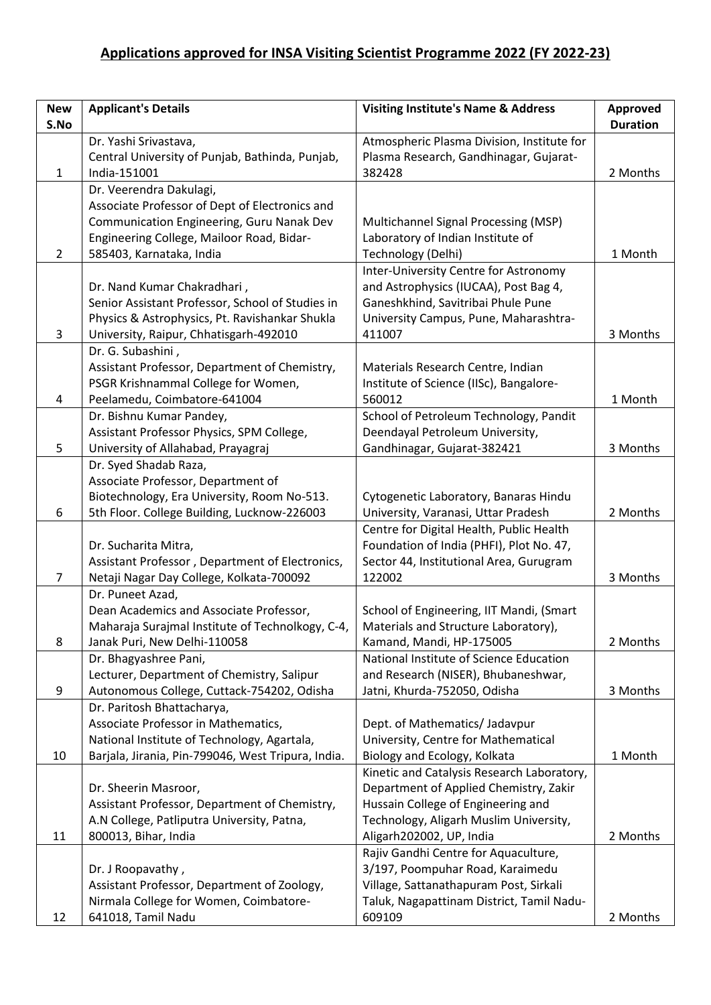## **Applications approved for INSA Visiting Scientist Programme 2022 (FY 2022-23)**

| <b>New</b><br>S.No    | <b>Applicant's Details</b>                         | <b>Visiting Institute's Name &amp; Address</b> | <b>Approved</b><br><b>Duration</b> |
|-----------------------|----------------------------------------------------|------------------------------------------------|------------------------------------|
|                       | Dr. Yashi Srivastava,                              | Atmospheric Plasma Division, Institute for     |                                    |
|                       | Central University of Punjab, Bathinda, Punjab,    | Plasma Research, Gandhinagar, Gujarat-         |                                    |
| $\mathbf{1}$          | India-151001                                       | 382428                                         | 2 Months                           |
|                       | Dr. Veerendra Dakulagi,                            |                                                |                                    |
|                       | Associate Professor of Dept of Electronics and     |                                                |                                    |
|                       | Communication Engineering, Guru Nanak Dev          | Multichannel Signal Processing (MSP)           |                                    |
|                       | Engineering College, Mailoor Road, Bidar-          | Laboratory of Indian Institute of              |                                    |
| $\mathbf{2}^{\prime}$ | 585403, Karnataka, India                           | Technology (Delhi)                             | 1 Month                            |
|                       |                                                    | Inter-University Centre for Astronomy          |                                    |
|                       | Dr. Nand Kumar Chakradhari,                        | and Astrophysics (IUCAA), Post Bag 4,          |                                    |
|                       | Senior Assistant Professor, School of Studies in   | Ganeshkhind, Savitribai Phule Pune             |                                    |
|                       | Physics & Astrophysics, Pt. Ravishankar Shukla     | University Campus, Pune, Maharashtra-          |                                    |
| 3                     | University, Raipur, Chhatisgarh-492010             | 411007                                         | 3 Months                           |
|                       | Dr. G. Subashini,                                  |                                                |                                    |
|                       | Assistant Professor, Department of Chemistry,      | Materials Research Centre, Indian              |                                    |
|                       | PSGR Krishnammal College for Women,                | Institute of Science (IISc), Bangalore-        |                                    |
| 4                     | Peelamedu, Coimbatore-641004                       | 560012                                         | 1 Month                            |
|                       | Dr. Bishnu Kumar Pandey,                           | School of Petroleum Technology, Pandit         |                                    |
|                       | Assistant Professor Physics, SPM College,          | Deendayal Petroleum University,                |                                    |
| 5                     | University of Allahabad, Prayagraj                 | Gandhinagar, Gujarat-382421                    | 3 Months                           |
|                       | Dr. Syed Shadab Raza,                              |                                                |                                    |
|                       | Associate Professor, Department of                 |                                                |                                    |
|                       | Biotechnology, Era University, Room No-513.        | Cytogenetic Laboratory, Banaras Hindu          |                                    |
| 6                     | 5th Floor. College Building, Lucknow-226003        | University, Varanasi, Uttar Pradesh            | 2 Months                           |
|                       |                                                    | Centre for Digital Health, Public Health       |                                    |
|                       | Dr. Sucharita Mitra,                               | Foundation of India (PHFI), Plot No. 47,       |                                    |
|                       | Assistant Professor, Department of Electronics,    | Sector 44, Institutional Area, Gurugram        |                                    |
| 7                     | Netaji Nagar Day College, Kolkata-700092           | 122002                                         | 3 Months                           |
|                       | Dr. Puneet Azad,                                   |                                                |                                    |
|                       | Dean Academics and Associate Professor,            | School of Engineering, IIT Mandi, (Smart       |                                    |
|                       | Maharaja Surajmal Institute of Technolkogy, C-4,   | Materials and Structure Laboratory),           |                                    |
| 8                     | Janak Puri, New Delhi-110058                       | Kamand, Mandi, HP-175005                       | 2 Months                           |
|                       | Dr. Bhagyashree Pani,                              | National Institute of Science Education        |                                    |
|                       | Lecturer, Department of Chemistry, Salipur         | and Research (NISER), Bhubaneshwar,            |                                    |
| 9                     | Autonomous College, Cuttack-754202, Odisha         | Jatni, Khurda-752050, Odisha                   | 3 Months                           |
|                       | Dr. Paritosh Bhattacharya,                         |                                                |                                    |
|                       | Associate Professor in Mathematics,                | Dept. of Mathematics/ Jadavpur                 |                                    |
|                       | National Institute of Technology, Agartala,        | University, Centre for Mathematical            |                                    |
| 10                    | Barjala, Jirania, Pin-799046, West Tripura, India. | Biology and Ecology, Kolkata                   | 1 Month                            |
|                       |                                                    | Kinetic and Catalysis Research Laboratory,     |                                    |
|                       | Dr. Sheerin Masroor,                               | Department of Applied Chemistry, Zakir         |                                    |
|                       | Assistant Professor, Department of Chemistry,      | Hussain College of Engineering and             |                                    |
|                       | A.N College, Patliputra University, Patna,         | Technology, Aligarh Muslim University,         |                                    |
| 11                    | 800013, Bihar, India                               | Aligarh202002, UP, India                       | 2 Months                           |
|                       |                                                    | Rajiv Gandhi Centre for Aquaculture,           |                                    |
|                       | Dr. J Roopavathy,                                  | 3/197, Poompuhar Road, Karaimedu               |                                    |
|                       | Assistant Professor, Department of Zoology,        | Village, Sattanathapuram Post, Sirkali         |                                    |
|                       | Nirmala College for Women, Coimbatore-             | Taluk, Nagapattinam District, Tamil Nadu-      |                                    |
| 12                    | 641018, Tamil Nadu                                 | 609109                                         | 2 Months                           |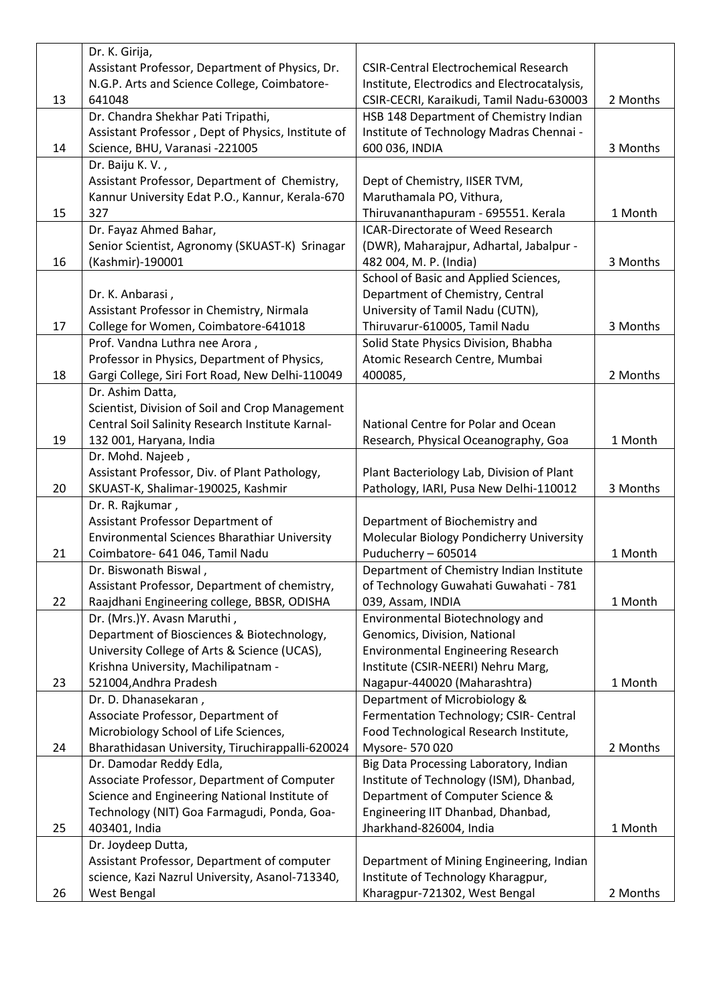|    | Dr. K. Girija,                                     |                                              |          |
|----|----------------------------------------------------|----------------------------------------------|----------|
|    | Assistant Professor, Department of Physics, Dr.    | <b>CSIR-Central Electrochemical Research</b> |          |
|    | N.G.P. Arts and Science College, Coimbatore-       | Institute, Electrodics and Electrocatalysis, |          |
| 13 | 641048                                             | CSIR-CECRI, Karaikudi, Tamil Nadu-630003     | 2 Months |
|    | Dr. Chandra Shekhar Pati Tripathi,                 | HSB 148 Department of Chemistry Indian       |          |
|    | Assistant Professor, Dept of Physics, Institute of | Institute of Technology Madras Chennai -     |          |
| 14 | Science, BHU, Varanasi -221005                     | 600 036, INDIA                               | 3 Months |
|    | Dr. Baiju K. V.,                                   |                                              |          |
|    | Assistant Professor, Department of Chemistry,      | Dept of Chemistry, IISER TVM,                |          |
|    | Kannur University Edat P.O., Kannur, Kerala-670    | Maruthamala PO, Vithura,                     |          |
| 15 | 327                                                | Thiruvananthapuram - 695551. Kerala          | 1 Month  |
|    | Dr. Fayaz Ahmed Bahar,                             | <b>ICAR-Directorate of Weed Research</b>     |          |
|    | Senior Scientist, Agronomy (SKUAST-K) Srinagar     | (DWR), Maharajpur, Adhartal, Jabalpur -      |          |
| 16 | (Kashmir)-190001                                   | 482 004, M. P. (India)                       | 3 Months |
|    |                                                    | School of Basic and Applied Sciences,        |          |
|    | Dr. K. Anbarasi,                                   | Department of Chemistry, Central             |          |
|    | Assistant Professor in Chemistry, Nirmala          | University of Tamil Nadu (CUTN),             |          |
| 17 | College for Women, Coimbatore-641018               | Thiruvarur-610005, Tamil Nadu                | 3 Months |
|    | Prof. Vandna Luthra nee Arora,                     | Solid State Physics Division, Bhabha         |          |
|    | Professor in Physics, Department of Physics,       | Atomic Research Centre, Mumbai               |          |
| 18 | Gargi College, Siri Fort Road, New Delhi-110049    | 400085,                                      | 2 Months |
|    | Dr. Ashim Datta,                                   |                                              |          |
|    | Scientist, Division of Soil and Crop Management    |                                              |          |
|    | Central Soil Salinity Research Institute Karnal-   | National Centre for Polar and Ocean          |          |
| 19 | 132 001, Haryana, India                            | Research, Physical Oceanography, Goa         | 1 Month  |
|    | Dr. Mohd. Najeeb,                                  |                                              |          |
|    | Assistant Professor, Div. of Plant Pathology,      | Plant Bacteriology Lab, Division of Plant    |          |
| 20 | SKUAST-K, Shalimar-190025, Kashmir                 | Pathology, IARI, Pusa New Delhi-110012       | 3 Months |
|    | Dr. R. Rajkumar,                                   |                                              |          |
|    | Assistant Professor Department of                  | Department of Biochemistry and               |          |
|    | Environmental Sciences Bharathiar University       | Molecular Biology Pondicherry University     |          |
| 21 | Coimbatore- 641 046, Tamil Nadu                    | Puducherry - 605014                          | 1 Month  |
|    | Dr. Biswonath Biswal,                              | Department of Chemistry Indian Institute     |          |
|    | Assistant Professor, Department of chemistry,      | of Technology Guwahati Guwahati - 781        |          |
| 22 | Raajdhani Engineering college, BBSR, ODISHA        | 039, Assam, INDIA                            | 1 Month  |
|    | Dr. (Mrs.)Y. Avasn Maruthi,                        | Environmental Biotechnology and              |          |
|    | Department of Biosciences & Biotechnology,         | Genomics, Division, National                 |          |
|    | University College of Arts & Science (UCAS),       | <b>Environmental Engineering Research</b>    |          |
|    | Krishna University, Machilipatnam -                | Institute (CSIR-NEERI) Nehru Marg,           |          |
| 23 | 521004, Andhra Pradesh                             | Nagapur-440020 (Maharashtra)                 | 1 Month  |
|    | Dr. D. Dhanasekaran,                               | Department of Microbiology &                 |          |
|    | Associate Professor, Department of                 | Fermentation Technology; CSIR- Central       |          |
|    | Microbiology School of Life Sciences,              | Food Technological Research Institute,       |          |
| 24 | Bharathidasan University, Tiruchirappalli-620024   | Mysore- 570 020                              | 2 Months |
|    | Dr. Damodar Reddy Edla,                            | Big Data Processing Laboratory, Indian       |          |
|    | Associate Professor, Department of Computer        | Institute of Technology (ISM), Dhanbad,      |          |
|    | Science and Engineering National Institute of      | Department of Computer Science &             |          |
|    | Technology (NIT) Goa Farmagudi, Ponda, Goa-        | Engineering IIT Dhanbad, Dhanbad,            |          |
| 25 | 403401, India                                      | Jharkhand-826004, India                      | 1 Month  |
|    | Dr. Joydeep Dutta,                                 |                                              |          |
|    | Assistant Professor, Department of computer        | Department of Mining Engineering, Indian     |          |
|    | science, Kazi Nazrul University, Asanol-713340,    | Institute of Technology Kharagpur,           |          |
| 26 | West Bengal                                        | Kharagpur-721302, West Bengal                | 2 Months |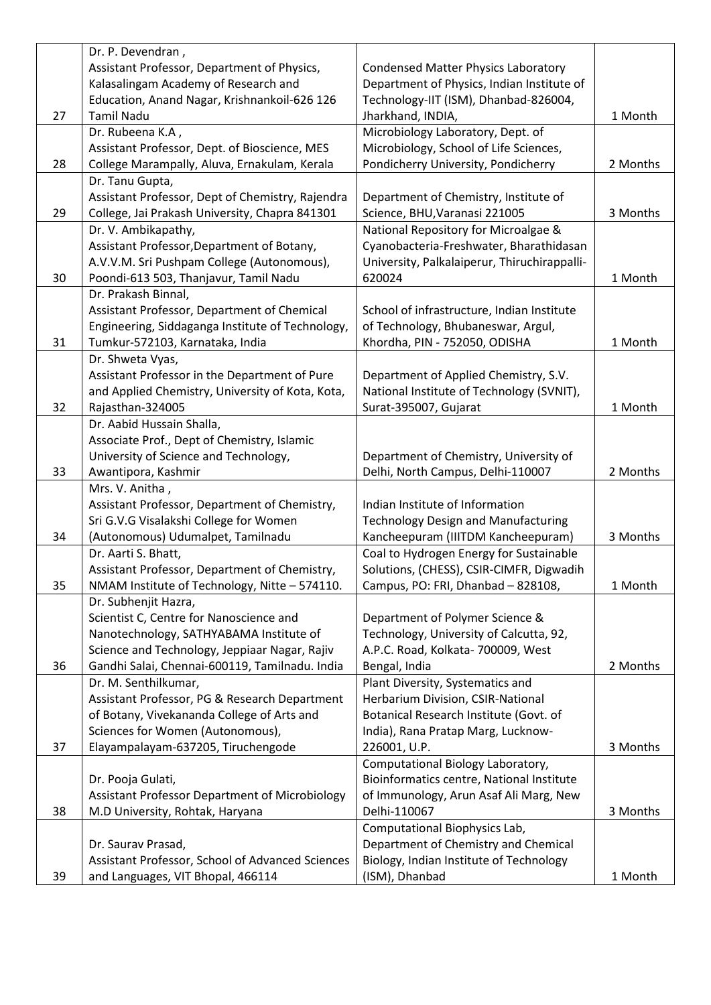|    | Dr. P. Devendran,                                |                                              |          |
|----|--------------------------------------------------|----------------------------------------------|----------|
|    | Assistant Professor, Department of Physics,      | <b>Condensed Matter Physics Laboratory</b>   |          |
|    | Kalasalingam Academy of Research and             | Department of Physics, Indian Institute of   |          |
|    | Education, Anand Nagar, Krishnankoil-626 126     | Technology-IIT (ISM), Dhanbad-826004,        |          |
| 27 | <b>Tamil Nadu</b>                                | Jharkhand, INDIA,                            | 1 Month  |
|    | Dr. Rubeena K.A,                                 | Microbiology Laboratory, Dept. of            |          |
|    | Assistant Professor, Dept. of Bioscience, MES    | Microbiology, School of Life Sciences,       |          |
| 28 | College Marampally, Aluva, Ernakulam, Kerala     | Pondicherry University, Pondicherry          | 2 Months |
|    | Dr. Tanu Gupta,                                  |                                              |          |
|    | Assistant Professor, Dept of Chemistry, Rajendra | Department of Chemistry, Institute of        |          |
| 29 | College, Jai Prakash University, Chapra 841301   | Science, BHU, Varanasi 221005                | 3 Months |
|    | Dr. V. Ambikapathy,                              | National Repository for Microalgae &         |          |
|    | Assistant Professor, Department of Botany,       | Cyanobacteria-Freshwater, Bharathidasan      |          |
|    | A.V.V.M. Sri Pushpam College (Autonomous),       | University, Palkalaiperur, Thiruchirappalli- |          |
| 30 | Poondi-613 503, Thanjavur, Tamil Nadu            | 620024                                       | 1 Month  |
|    | Dr. Prakash Binnal,                              |                                              |          |
|    | Assistant Professor, Department of Chemical      | School of infrastructure, Indian Institute   |          |
|    | Engineering, Siddaganga Institute of Technology, | of Technology, Bhubaneswar, Argul,           |          |
| 31 | Tumkur-572103, Karnataka, India                  | Khordha, PIN - 752050, ODISHA                | 1 Month  |
|    | Dr. Shweta Vyas,                                 |                                              |          |
|    | Assistant Professor in the Department of Pure    | Department of Applied Chemistry, S.V.        |          |
|    | and Applied Chemistry, University of Kota, Kota, | National Institute of Technology (SVNIT),    |          |
| 32 | Rajasthan-324005                                 | Surat-395007, Gujarat                        | 1 Month  |
|    |                                                  |                                              |          |
|    | Dr. Aabid Hussain Shalla,                        |                                              |          |
|    | Associate Prof., Dept of Chemistry, Islamic      |                                              |          |
|    | University of Science and Technology,            | Department of Chemistry, University of       |          |
| 33 | Awantipora, Kashmir                              | Delhi, North Campus, Delhi-110007            | 2 Months |
|    | Mrs. V. Anitha,                                  |                                              |          |
|    | Assistant Professor, Department of Chemistry,    | Indian Institute of Information              |          |
|    | Sri G.V.G Visalakshi College for Women           | <b>Technology Design and Manufacturing</b>   |          |
| 34 | (Autonomous) Udumalpet, Tamilnadu                | Kancheepuram (IIITDM Kancheepuram)           | 3 Months |
|    | Dr. Aarti S. Bhatt,                              | Coal to Hydrogen Energy for Sustainable      |          |
|    | Assistant Professor, Department of Chemistry,    | Solutions, (CHESS), CSIR-CIMFR, Digwadih     |          |
| 35 | NMAM Institute of Technology, Nitte - 574110.    | Campus, PO: FRI, Dhanbad - 828108,           | 1 Month  |
|    | Dr. Subhenjit Hazra,                             |                                              |          |
|    | Scientist C, Centre for Nanoscience and          | Department of Polymer Science &              |          |
|    | Nanotechnology, SATHYABAMA Institute of          | Technology, University of Calcutta, 92,      |          |
|    | Science and Technology, Jeppiaar Nagar, Rajiv    | A.P.C. Road, Kolkata- 700009, West           |          |
| 36 | Gandhi Salai, Chennai-600119, Tamilnadu. India   | Bengal, India                                | 2 Months |
|    | Dr. M. Senthilkumar,                             | Plant Diversity, Systematics and             |          |
|    | Assistant Professor, PG & Research Department    | Herbarium Division, CSIR-National            |          |
|    | of Botany, Vivekananda College of Arts and       | Botanical Research Institute (Govt. of       |          |
|    | Sciences for Women (Autonomous),                 | India), Rana Pratap Marg, Lucknow-           |          |
| 37 | Elayampalayam-637205, Tiruchengode               | 226001, U.P.                                 | 3 Months |
|    |                                                  | Computational Biology Laboratory,            |          |
|    | Dr. Pooja Gulati,                                | Bioinformatics centre, National Institute    |          |
|    | Assistant Professor Department of Microbiology   | of Immunology, Arun Asaf Ali Marg, New       |          |
| 38 | M.D University, Rohtak, Haryana                  | Delhi-110067                                 | 3 Months |
|    |                                                  | Computational Biophysics Lab,                |          |
|    | Dr. Saurav Prasad,                               | Department of Chemistry and Chemical         |          |
|    | Assistant Professor, School of Advanced Sciences | Biology, Indian Institute of Technology      |          |
| 39 | and Languages, VIT Bhopal, 466114                | (ISM), Dhanbad                               | 1 Month  |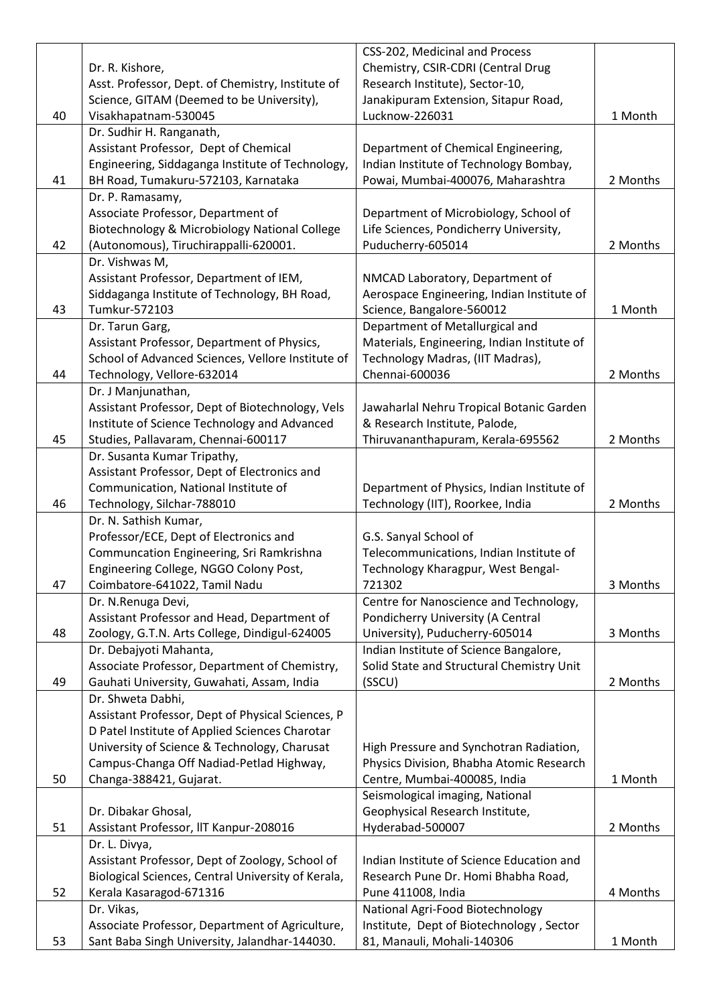|    |                                                    | CSS-202, Medicinal and Process              |          |
|----|----------------------------------------------------|---------------------------------------------|----------|
|    | Dr. R. Kishore,                                    | Chemistry, CSIR-CDRI (Central Drug          |          |
|    | Asst. Professor, Dept. of Chemistry, Institute of  | Research Institute), Sector-10,             |          |
|    | Science, GITAM (Deemed to be University),          | Janakipuram Extension, Sitapur Road,        |          |
| 40 | Visakhapatnam-530045                               | Lucknow-226031                              | 1 Month  |
|    | Dr. Sudhir H. Ranganath,                           |                                             |          |
|    | Assistant Professor, Dept of Chemical              | Department of Chemical Engineering,         |          |
|    | Engineering, Siddaganga Institute of Technology,   | Indian Institute of Technology Bombay,      |          |
| 41 | BH Road, Tumakuru-572103, Karnataka                | Powai, Mumbai-400076, Maharashtra           | 2 Months |
|    | Dr. P. Ramasamy,                                   |                                             |          |
|    | Associate Professor, Department of                 | Department of Microbiology, School of       |          |
|    | Biotechnology & Microbiology National College      | Life Sciences, Pondicherry University,      |          |
| 42 | (Autonomous), Tiruchirappalli-620001.              | Puducherry-605014                           | 2 Months |
|    | Dr. Vishwas M,                                     |                                             |          |
|    | Assistant Professor, Department of IEM,            | NMCAD Laboratory, Department of             |          |
|    | Siddaganga Institute of Technology, BH Road,       | Aerospace Engineering, Indian Institute of  |          |
| 43 | Tumkur-572103                                      | Science, Bangalore-560012                   | 1 Month  |
|    | Dr. Tarun Garg,                                    | Department of Metallurgical and             |          |
|    | Assistant Professor, Department of Physics,        | Materials, Engineering, Indian Institute of |          |
|    | School of Advanced Sciences, Vellore Institute of  | Technology Madras, (IIT Madras),            |          |
| 44 | Technology, Vellore-632014                         | Chennai-600036                              | 2 Months |
|    | Dr. J Manjunathan,                                 |                                             |          |
|    | Assistant Professor, Dept of Biotechnology, Vels   | Jawaharlal Nehru Tropical Botanic Garden    |          |
|    | Institute of Science Technology and Advanced       | & Research Institute, Palode,               |          |
| 45 | Studies, Pallavaram, Chennai-600117                | Thiruvananthapuram, Kerala-695562           | 2 Months |
|    | Dr. Susanta Kumar Tripathy,                        |                                             |          |
|    | Assistant Professor, Dept of Electronics and       |                                             |          |
|    | Communication, National Institute of               | Department of Physics, Indian Institute of  |          |
| 46 | Technology, Silchar-788010                         | Technology (IIT), Roorkee, India            | 2 Months |
|    | Dr. N. Sathish Kumar,                              |                                             |          |
|    | Professor/ECE, Dept of Electronics and             | G.S. Sanyal School of                       |          |
|    | Communcation Engineering, Sri Ramkrishna           | Telecommunications, Indian Institute of     |          |
|    | Engineering College, NGGO Colony Post,             | Technology Kharagpur, West Bengal-          |          |
| 47 | Coimbatore-641022, Tamil Nadu                      | 721302                                      | 3 Months |
|    | Dr. N.Renuga Devi,                                 | Centre for Nanoscience and Technology,      |          |
|    | Assistant Professor and Head, Department of        | Pondicherry University (A Central           |          |
| 48 | Zoology, G.T.N. Arts College, Dindigul-624005      | University), Puducherry-605014              | 3 Months |
|    | Dr. Debajyoti Mahanta,                             | Indian Institute of Science Bangalore,      |          |
|    | Associate Professor, Department of Chemistry,      | Solid State and Structural Chemistry Unit   |          |
| 49 | Gauhati University, Guwahati, Assam, India         | (SSCU)                                      | 2 Months |
|    | Dr. Shweta Dabhi,                                  |                                             |          |
|    | Assistant Professor, Dept of Physical Sciences, P  |                                             |          |
|    | D Patel Institute of Applied Sciences Charotar     |                                             |          |
|    | University of Science & Technology, Charusat       | High Pressure and Synchotran Radiation,     |          |
|    | Campus-Changa Off Nadiad-Petlad Highway,           | Physics Division, Bhabha Atomic Research    |          |
| 50 |                                                    | Centre, Mumbai-400085, India                | 1 Month  |
|    | Changa-388421, Gujarat.                            | Seismological imaging, National             |          |
|    | Dr. Dibakar Ghosal,                                | Geophysical Research Institute,             |          |
| 51 | Assistant Professor, IIT Kanpur-208016             | Hyderabad-500007                            | 2 Months |
|    | Dr. L. Divya,                                      |                                             |          |
|    |                                                    | Indian Institute of Science Education and   |          |
|    | Assistant Professor, Dept of Zoology, School of    |                                             |          |
|    | Biological Sciences, Central University of Kerala, | Research Pune Dr. Homi Bhabha Road,         |          |
| 52 | Kerala Kasaragod-671316                            | Pune 411008, India                          | 4 Months |
|    | Dr. Vikas,                                         | National Agri-Food Biotechnology            |          |
|    | Associate Professor, Department of Agriculture,    | Institute, Dept of Biotechnology, Sector    |          |
| 53 | Sant Baba Singh University, Jalandhar-144030.      | 81, Manauli, Mohali-140306                  | 1 Month  |